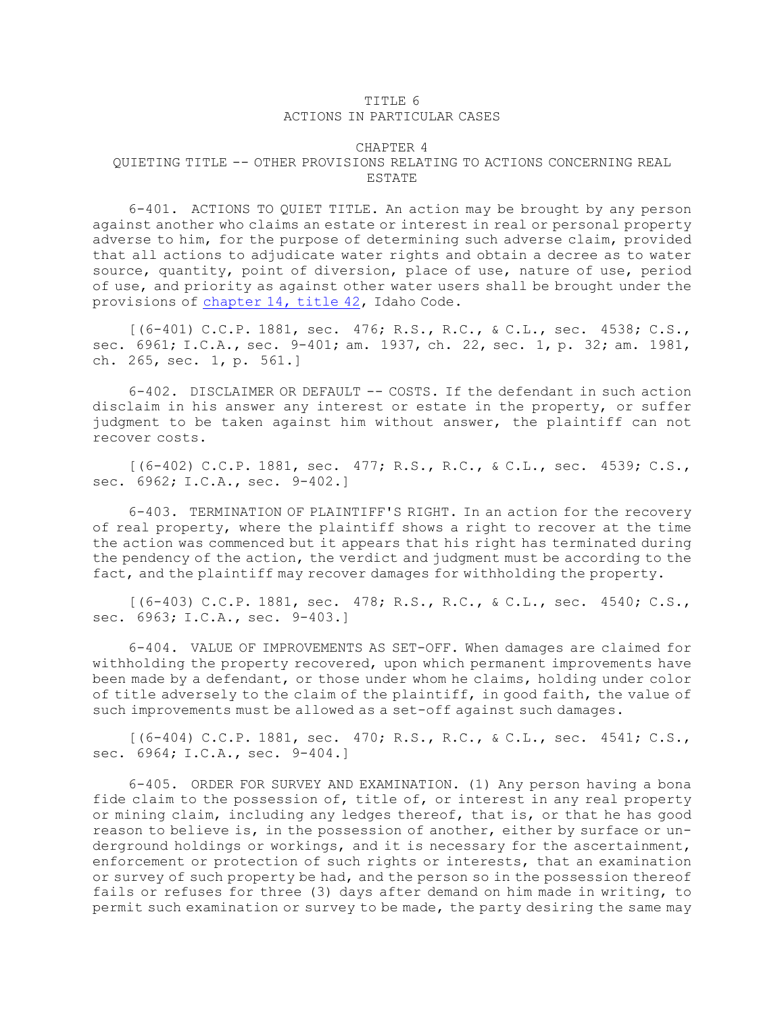## TITLE 6 ACTIONS IN PARTICULAR CASES

## CHAPTER 4 QUIETING TITLE -- OTHER PROVISIONS RELATING TO ACTIONS CONCERNING REAL ESTATE

6-401. ACTIONS TO QUIET TITLE. An action may be brought by any person against another who claims an estate or interest in real or personal property adverse to him, for the purpose of determining such adverse claim, provided that all actions to adjudicate water rights and obtain <sup>a</sup> decree as to water source, quantity, point of diversion, place of use, nature of use, period of use, and priority as against other water users shall be brought under the provisions of [chapter](https://legislature.idaho.gov/statutesrules/idstat/Title42/T42CH14) 14, title 42, Idaho Code.

[(6-401) C.C.P. 1881, sec. 476; R.S., R.C., & C.L., sec. 4538; C.S., sec. 6961; I.C.A., sec. 9-401; am. 1937, ch. 22, sec. 1, p. 32; am. 1981, ch. 265, sec. 1, p. 561.]

6-402. DISCLAIMER OR DEFAULT -- COSTS. If the defendant in such action disclaim in his answer any interest or estate in the property, or suffer judgment to be taken against him without answer, the plaintiff can not recover costs.

[(6-402) C.C.P. 1881, sec. 477; R.S., R.C., & C.L., sec. 4539; C.S., sec. 6962; I.C.A., sec. 9-402.]

6-403. TERMINATION OF PLAINTIFF'S RIGHT. In an action for the recovery of real property, where the plaintiff shows <sup>a</sup> right to recover at the time the action was commenced but it appears that his right has terminated during the pendency of the action, the verdict and judgment must be according to the fact, and the plaintiff may recover damages for withholding the property.

[(6-403) C.C.P. 1881, sec. 478; R.S., R.C., & C.L., sec. 4540; C.S., sec. 6963; I.C.A., sec. 9-403.]

6-404. VALUE OF IMPROVEMENTS AS SET-OFF. When damages are claimed for withholding the property recovered, upon which permanent improvements have been made by <sup>a</sup> defendant, or those under whom he claims, holding under color of title adversely to the claim of the plaintiff, in good faith, the value of such improvements must be allowed as <sup>a</sup> set-off against such damages.

[(6-404) C.C.P. 1881, sec. 470; R.S., R.C., & C.L., sec. 4541; C.S., sec. 6964; I.C.A., sec. 9-404.]

6-405. ORDER FOR SURVEY AND EXAMINATION. (1) Any person having <sup>a</sup> bona fide claim to the possession of, title of, or interest in any real property or mining claim, including any ledges thereof, that is, or that he has good reason to believe is, in the possession of another, either by surface or underground holdings or workings, and it is necessary for the ascertainment, enforcement or protection of such rights or interests, that an examination or survey of such property be had, and the person so in the possession thereof fails or refuses for three (3) days after demand on him made in writing, to permit such examination or survey to be made, the party desiring the same may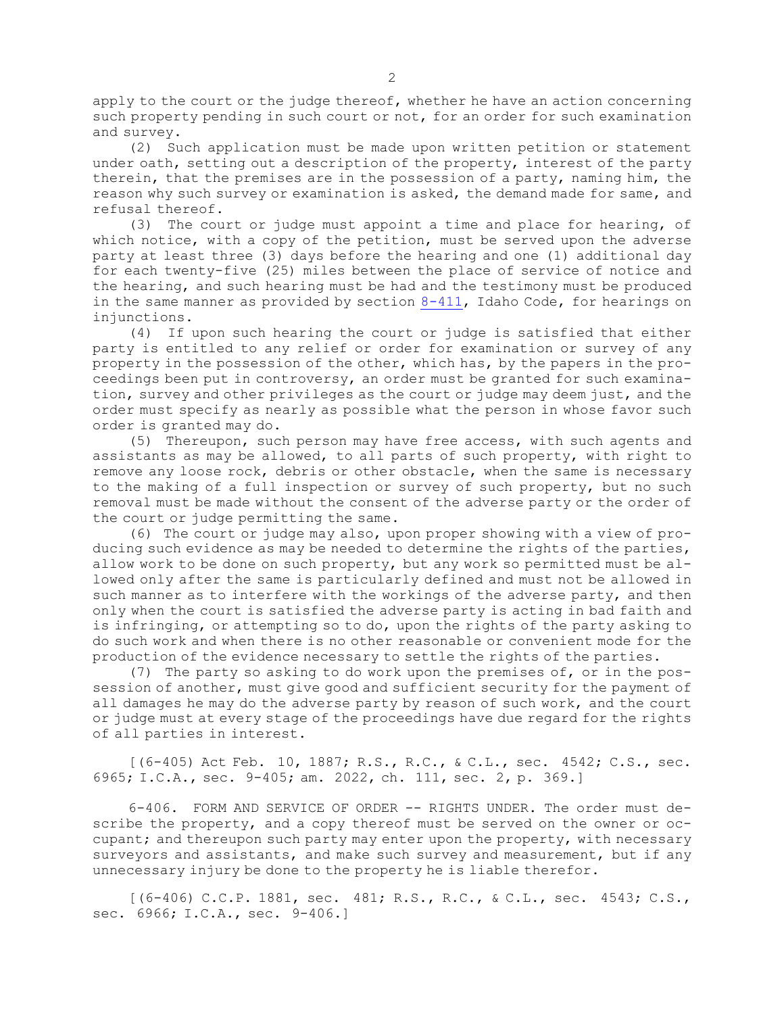apply to the court or the judge thereof, whether he have an action concerning such property pending in such court or not, for an order for such examination and survey.

(2) Such application must be made upon written petition or statement under oath, setting out <sup>a</sup> description of the property, interest of the party therein, that the premises are in the possession of <sup>a</sup> party, naming him, the reason why such survey or examination is asked, the demand made for same, and refusal thereof.

(3) The court or judge must appoint <sup>a</sup> time and place for hearing, of which notice, with a copy of the petition, must be served upon the adverse party at least three (3) days before the hearing and one (1) additional day for each twenty-five (25) miles between the place of service of notice and the hearing, and such hearing must be had and the testimony must be produced in the same manner as provided by section [8-411](https://legislature.idaho.gov/statutesrules/idstat/Title8/T8CH4/SECT8-411), Idaho Code, for hearings on injunctions.

(4) If upon such hearing the court or judge is satisfied that either party is entitled to any relief or order for examination or survey of any property in the possession of the other, which has, by the papers in the proceedings been put in controversy, an order must be granted for such examination, survey and other privileges as the court or judge may deem just, and the order must specify as nearly as possible what the person in whose favor such order is granted may do.

(5) Thereupon, such person may have free access, with such agents and assistants as may be allowed, to all parts of such property, with right to remove any loose rock, debris or other obstacle, when the same is necessary to the making of <sup>a</sup> full inspection or survey of such property, but no such removal must be made without the consent of the adverse party or the order of the court or judge permitting the same.

(6) The court or judge may also, upon proper showing with <sup>a</sup> view of producing such evidence as may be needed to determine the rights of the parties, allow work to be done on such property, but any work so permitted must be allowed only after the same is particularly defined and must not be allowed in such manner as to interfere with the workings of the adverse party, and then only when the court is satisfied the adverse party is acting in bad faith and is infringing, or attempting so to do, upon the rights of the party asking to do such work and when there is no other reasonable or convenient mode for the production of the evidence necessary to settle the rights of the parties.

(7) The party so asking to do work upon the premises of, or in the possession of another, must give good and sufficient security for the payment of all damages he may do the adverse party by reason of such work, and the court or judge must at every stage of the proceedings have due regard for the rights of all parties in interest.

[(6-405) Act Feb. 10, 1887; R.S., R.C., & C.L., sec. 4542; C.S., sec. 6965; I.C.A., sec. 9-405; am. 2022, ch. 111, sec. 2, p. 369.]

6-406. FORM AND SERVICE OF ORDER -- RIGHTS UNDER. The order must describe the property, and <sup>a</sup> copy thereof must be served on the owner or occupant; and thereupon such party may enter upon the property, with necessary surveyors and assistants, and make such survey and measurement, but if any unnecessary injury be done to the property he is liable therefor.

[(6-406) C.C.P. 1881, sec. 481; R.S., R.C., & C.L., sec. 4543; C.S., sec. 6966; I.C.A., sec. 9-406.]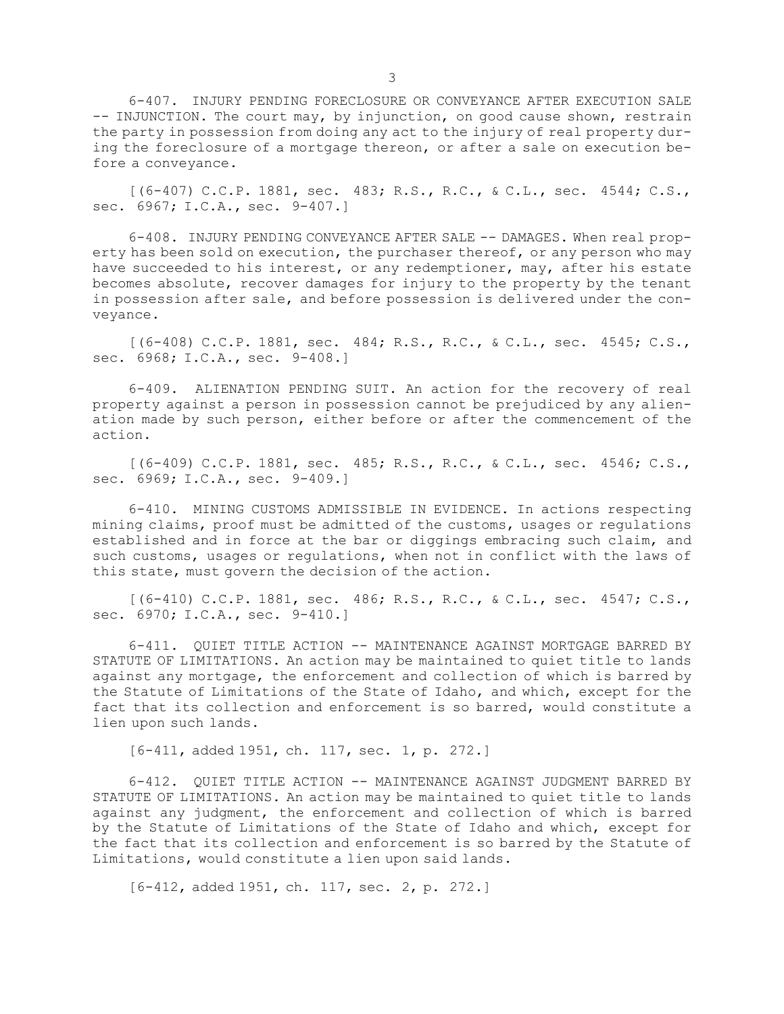6-407. INJURY PENDING FORECLOSURE OR CONVEYANCE AFTER EXECUTION SALE -- INJUNCTION. The court may, by injunction, on good cause shown, restrain the party in possession from doing any act to the injury of real property during the foreclosure of <sup>a</sup> mortgage thereon, or after <sup>a</sup> sale on execution before <sup>a</sup> conveyance.

 $[(6-407)$  C.C.P. 1881, sec. 483; R.S., R.C., & C.L., sec. 4544; C.S., sec. 6967; I.C.A., sec. 9-407.1

6-408. INJURY PENDING CONVEYANCE AFTER SALE -- DAMAGES. When real property has been sold on execution, the purchaser thereof, or any person who may have succeeded to his interest, or any redemptioner, may, after his estate becomes absolute, recover damages for injury to the property by the tenant in possession after sale, and before possession is delivered under the conveyance.

[(6-408) C.C.P. 1881, sec. 484; R.S., R.C., & C.L., sec. 4545; C.S., sec. 6968; I.C.A., sec. 9-408.]

6-409. ALIENATION PENDING SUIT. An action for the recovery of real property against <sup>a</sup> person in possession cannot be prejudiced by any alienation made by such person, either before or after the commencement of the action.

[(6-409) C.C.P. 1881, sec. 485; R.S., R.C., & C.L., sec. 4546; C.S., sec. 6969; I.C.A., sec. 9-409.]

6-410. MINING CUSTOMS ADMISSIBLE IN EVIDENCE. In actions respecting mining claims, proof must be admitted of the customs, usages or regulations established and in force at the bar or diggings embracing such claim, and such customs, usages or regulations, when not in conflict with the laws of this state, must govern the decision of the action.

[(6-410) C.C.P. 1881, sec. 486; R.S., R.C., & C.L., sec. 4547; C.S., sec. 6970; I.C.A., sec. 9-410.]

6-411. QUIET TITLE ACTION -- MAINTENANCE AGAINST MORTGAGE BARRED BY STATUTE OF LIMITATIONS. An action may be maintained to quiet title to lands against any mortgage, the enforcement and collection of which is barred by the Statute of Limitations of the State of Idaho, and which, except for the fact that its collection and enforcement is so barred, would constitute <sup>a</sup> lien upon such lands.

[6-411, added 1951, ch. 117, sec. 1, p. 272.]

6-412. QUIET TITLE ACTION -- MAINTENANCE AGAINST JUDGMENT BARRED BY STATUTE OF LIMITATIONS. An action may be maintained to quiet title to lands against any judgment, the enforcement and collection of which is barred by the Statute of Limitations of the State of Idaho and which, except for the fact that its collection and enforcement is so barred by the Statute of Limitations, would constitute <sup>a</sup> lien upon said lands.

[6-412, added 1951, ch. 117, sec. 2, p. 272.]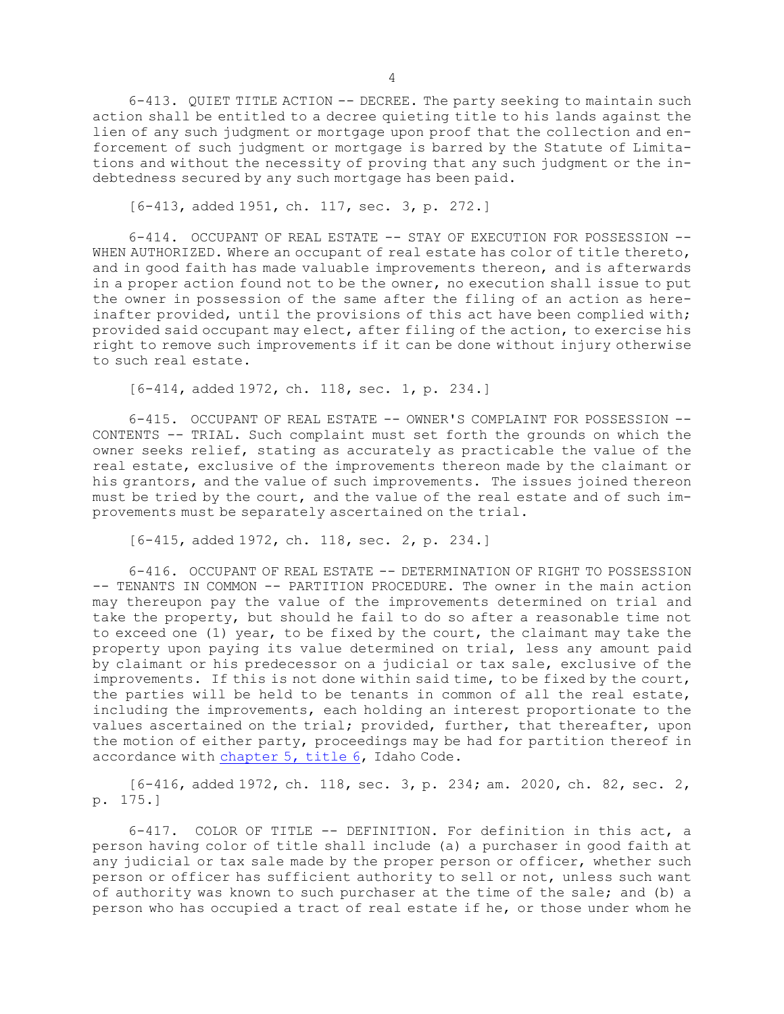6-413. QUIET TITLE ACTION -- DECREE. The party seeking to maintain such action shall be entitled to <sup>a</sup> decree quieting title to his lands against the lien of any such judgment or mortgage upon proof that the collection and enforcement of such judgment or mortgage is barred by the Statute of Limitations and without the necessity of proving that any such judgment or the indebtedness secured by any such mortgage has been paid.

[6-413, added 1951, ch. 117, sec. 3, p. 272.]

6-414. OCCUPANT OF REAL ESTATE -- STAY OF EXECUTION FOR POSSESSION -- WHEN AUTHORIZED. Where an occupant of real estate has color of title thereto, and in good faith has made valuable improvements thereon, and is afterwards in <sup>a</sup> proper action found not to be the owner, no execution shall issue to put the owner in possession of the same after the filing of an action as hereinafter provided, until the provisions of this act have been complied with; provided said occupant may elect, after filing of the action, to exercise his right to remove such improvements if it can be done without injury otherwise to such real estate.

[6-414, added 1972, ch. 118, sec. 1, p. 234.]

6-415. OCCUPANT OF REAL ESTATE -- OWNER'S COMPLAINT FOR POSSESSION -- CONTENTS -- TRIAL. Such complaint must set forth the grounds on which the owner seeks relief, stating as accurately as practicable the value of the real estate, exclusive of the improvements thereon made by the claimant or his grantors, and the value of such improvements. The issues joined thereon must be tried by the court, and the value of the real estate and of such improvements must be separately ascertained on the trial.

[6-415, added 1972, ch. 118, sec. 2, p. 234.]

6-416. OCCUPANT OF REAL ESTATE -- DETERMINATION OF RIGHT TO POSSESSION -- TENANTS IN COMMON -- PARTITION PROCEDURE. The owner in the main action may thereupon pay the value of the improvements determined on trial and take the property, but should he fail to do so after <sup>a</sup> reasonable time not to exceed one (1) year, to be fixed by the court, the claimant may take the property upon paying its value determined on trial, less any amount paid by claimant or his predecessor on <sup>a</sup> judicial or tax sale, exclusive of the improvements. If this is not done within said time, to be fixed by the court, the parties will be held to be tenants in common of all the real estate, including the improvements, each holding an interest proportionate to the values ascertained on the trial; provided, further, that thereafter, upon the motion of either party, proceedings may be had for partition thereof in accordance with [chapter](https://legislature.idaho.gov/statutesrules/idstat/Title6/T6CH5) 5, title 6, Idaho Code.

[6-416, added 1972, ch. 118, sec. 3, p. 234; am. 2020, ch. 82, sec. 2, p. 175.]

6-417. COLOR OF TITLE -- DEFINITION. For definition in this act, <sup>a</sup> person having color of title shall include (a) <sup>a</sup> purchaser in good faith at any judicial or tax sale made by the proper person or officer, whether such person or officer has sufficient authority to sell or not, unless such want of authority was known to such purchaser at the time of the sale; and (b) <sup>a</sup> person who has occupied <sup>a</sup> tract of real estate if he, or those under whom he